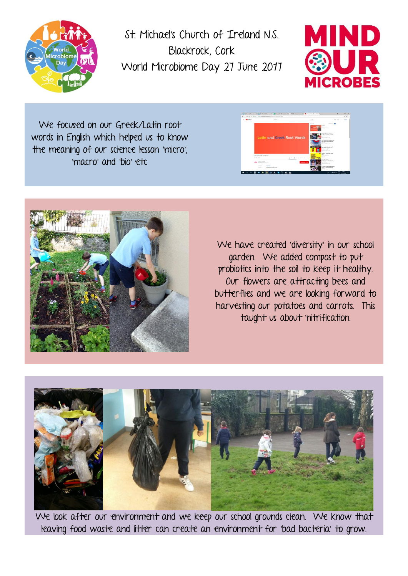

St. Michael's Church of Ireland N.S. Blackrock, Cork World Microbiome Day 27 June 2017



We focused on our Greek/Latin root words in English which helped us to know the meaning of our science lesson 'micro', 'macro' and 'bio' etc





We have created 'diversity' in our school garden. We added compost to put probiotics into the soil to keep it healthy. Our flowers are attracting bees and butterflies and we are looking forward to harvesting our potatoes and carrots. This taught us about 'nitrification.



We look after our environment and we keep our school grounds clean. We know that leaving food waste and litter can create an environment for 'bad bacteria' to grow.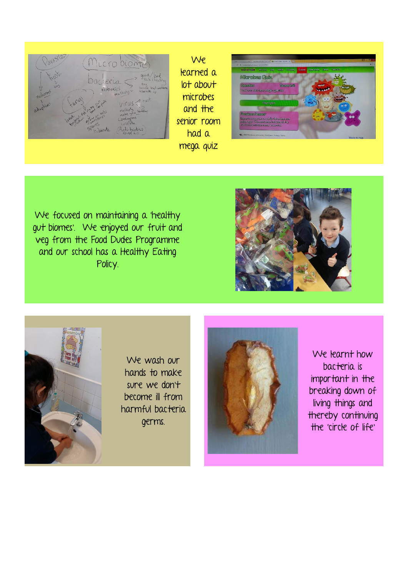

We learned a lot about microbes and the senior room had a mega quiz



We focused on maintaining a 'healthy gut biomes'. We enjoyed our fruit and veg from the Food Dudes Programme and our school has a Healthy Eating Policy.





We wash our hands to make sure we don't become ill from harmful bacteria germs.



We learnt how bacteria is important in the breaking down of living things and thereby continuing the 'circle of life'